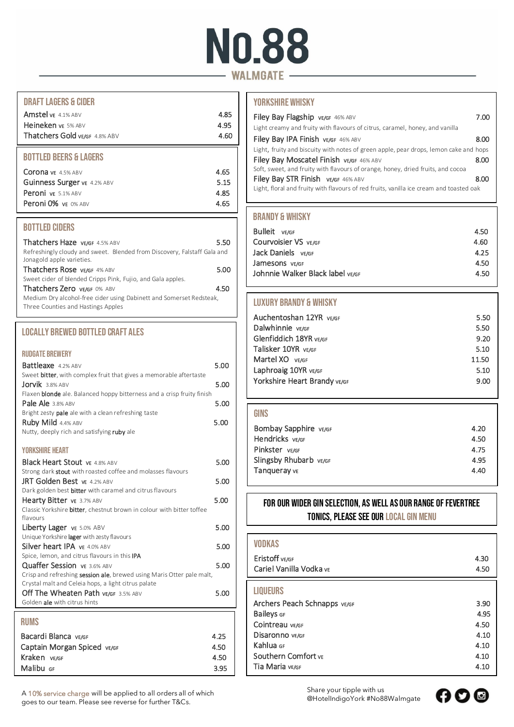# **No.88** - WALMGATE -

## DRAFT LAGERS & CIDER

| Heineken vE 5% ABV<br>Thatchers Gold VE/GF 4.8% ABV | 4.95 |
|-----------------------------------------------------|------|
|                                                     | 4.60 |

## BOTTLED BEERS & LAGERS

| 4.65<br>5.15<br>4.85 |
|----------------------|
| 4.65                 |
|                      |

## BOTTLED CIDERS

| Thatchers Haze VE/GF 4.5% ABV                                            | 5.50 |
|--------------------------------------------------------------------------|------|
| Refreshingly cloudy and sweet. Blended from Discovery, Falstaff Gala and |      |
| Jonagold apple varieties.                                                |      |
| Thatchers Rose VE/GF 4% ABV                                              | 5.00 |
| Sweet cider of blended Cripps Pink, Fujio, and Gala apples.              |      |
| Thatchers Zero VE/GF 0% ABV                                              | 4.50 |
| Medium Dry alcohol-free cider using Dabinett and Somerset Redsteak,      |      |
| Three Counties and Hastings Apples                                       |      |

# LOCALLY BREWED BOTTLED CRAFT ALES

#### RUDGATE BREWERY

| <b>Battleaxe</b> 4.2% ABV                                                     | 5.00 |
|-------------------------------------------------------------------------------|------|
| Sweet <b>bitter</b> , with complex fruit that gives a memorable aftertaste    |      |
| $Jorvik$ 3.8% ABV                                                             | 5.00 |
| Flaxen <b>blonde</b> ale. Balanced hoppy bitterness and a crisp fruity finish |      |
| Pale Ale 3.8% ABV                                                             | 5.00 |
| Bright zesty pale ale with a clean refreshing taste                           |      |
| Ruby Mild 4.4% ABV                                                            | 5.00 |
| Nutty, deeply rich and satisfying ruby ale                                    |      |
|                                                                               |      |

## YORKSHIRE HEART

| <b>Black Heart Stout vE 4.8% ABV</b>                                                       | 5.00 |
|--------------------------------------------------------------------------------------------|------|
| Strong dark stout with roasted coffee and molasses flavours<br>JRT Golden Best vE 4.2% ABV | 5.00 |
| Dark golden best bitter with caramel and citrus flavours                                   |      |
| Hearty Bitter vE 3.7% ABV                                                                  | 5.00 |
| Classic Yorkshire <b>bitter</b> , chestnut brown in colour with bitter toffee              |      |
| flavours                                                                                   |      |
| Liberty Lager vE 5.0% ABV                                                                  | 5.00 |
| Unique Yorkshire lager with zesty flavours                                                 |      |
| Silver heart IPA VE 4.0% ABV                                                               | 5.00 |
| Spice, lemon, and citrus flavours in this IPA                                              |      |
| Quaffer Session vE 3.6% ABV                                                                | 5.00 |
| Crisp and refreshing session ale, brewed using Maris Otter pale malt,                      |      |
| Crystal malt and Celeia hops, a light citrus palate                                        |      |
| Off The Wheaten Path VE/GF 3.5% ABV                                                        | 5.00 |
| Golden ale with citrus hints                                                               |      |
|                                                                                            |      |

# RUMS Bacardi Blanca VE/GF 4.25 Captain Morgan Spiced VE/GF 4.50 Kraken verge and the state of the state of the 4.50 Malibu GF 3.95

A 10% service charge will be applied to all orders all of which goes to our team. Please see reverse for further T&Cs.

# YORKSHIRE WHISKY

| Filey Bay Flagship VE/GF 46% ABV                                                        | 7.00 |  |
|-----------------------------------------------------------------------------------------|------|--|
| Light creamy and fruity with flavours of citrus, caramel, honey, and vanilla            |      |  |
| Filey Bay IPA Finish VE/GF 46% ABV                                                      | 8.00 |  |
| Light, fruity and biscuity with notes of green apple, pear drops, lemon cake and hops   |      |  |
| Filey Bay Moscatel Finish VE/GF 46% ABV                                                 | 8.00 |  |
| Soft, sweet, and fruity with flavours of orange, honey, dried fruits, and cocoa         |      |  |
| Filey Bay STR Finish VE/GF 46% ABV                                                      | 8.00 |  |
| Light, floral and fruity with flavours of red fruits, vanilla ice cream and toasted oak |      |  |

# BRANDY & WHISKY

| <b>Bulleit</b> VE/GF             | 4.50 |
|----------------------------------|------|
| Courvoisier VS VE/GF             | 4.60 |
| Jack Daniels ve/gr               | 4.25 |
| Jamesons vE/GF                   | 4.50 |
| Johnnie Walker Black label vɛ/GF | 4.50 |
|                                  |      |

# LUXURY BRANDY & WHISKY

| Auchentoshan 12YR vE/GF      | 5.50  |
|------------------------------|-------|
| Dalwhinnie vE/GF             | 5.50  |
| Glenfiddich 18YR vE/GF       | 9.20  |
| Talisker 10YR vE/GF          | 5.10  |
| Martel XO VE/GF              | 11.50 |
| Laphroaig 10YR VE/GF         | 5.10  |
| Yorkshire Heart Brandy VE/GF | 9.00  |
|                              |       |

| <b>GINS</b>            |      |
|------------------------|------|
| Bombay Sapphire VE/GF  | 4.20 |
| Hendricks VE/GF        | 4.50 |
| Pinkster VE/GF         | 4.75 |
| Slingsby Rhubarb VE/GF | 4.95 |
| Tangueray vɛ           | 4.40 |
|                        |      |

# For our wider Gin selection, as well as our range of Fevertree tonics, please see our Local Gin Menu

| <b>VODKAS</b>                |      |
|------------------------------|------|
| Eristoff VE/GF               | 4.30 |
| Cariel Vanilla Vodka ve      | 4.50 |
| <b>LIQUEURS</b>              |      |
| Archers Peach Schnapps VE/GF | 3.90 |
| <b>Baileys</b> GF            | 4.95 |
| Cointreau vE/GF              | 4.50 |
| Disaronno vE/GF              | 4.10 |
| Kahlua GF                    | 4.10 |
| Southern Comfort ve          | 4.10 |
| Tia Maria vE/GF              | 4.10 |
|                              |      |